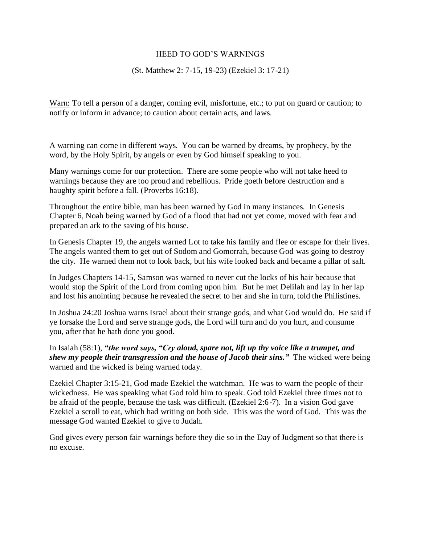## HEED TO GOD'S WARNINGS

## (St. Matthew 2: 7-15, 19-23) (Ezekiel 3: 17-21)

Warn: To tell a person of a danger, coming evil, misfortune, etc.; to put on guard or caution; to notify or inform in advance; to caution about certain acts, and laws.

A warning can come in different ways. You can be warned by dreams, by prophecy, by the word, by the Holy Spirit, by angels or even by God himself speaking to you.

Many warnings come for our protection. There are some people who will not take heed to warnings because they are too proud and rebellious. Pride goeth before destruction and a haughty spirit before a fall. (Proverbs 16:18).

Throughout the entire bible, man has been warned by God in many instances. In Genesis Chapter 6, Noah being warned by God of a flood that had not yet come, moved with fear and prepared an ark to the saving of his house.

In Genesis Chapter 19, the angels warned Lot to take his family and flee or escape for their lives. The angels wanted them to get out of Sodom and Gomorrah, because God was going to destroy the city. He warned them not to look back, but his wife looked back and became a pillar of salt.

In Judges Chapters 14-15, Samson was warned to never cut the locks of his hair because that would stop the Spirit of the Lord from coming upon him. But he met Delilah and lay in her lap and lost his anointing because he revealed the secret to her and she in turn, told the Philistines.

In Joshua 24:20 Joshua warns Israel about their strange gods, and what God would do. He said if ye forsake the Lord and serve strange gods, the Lord will turn and do you hurt, and consume you, after that he hath done you good.

In Isaiah (58:1), *"the word says, "Cry aloud, spare not, lift up thy voice like a trumpet, and shew my people their transgression and the house of Jacob their sins."* The wicked were being warned and the wicked is being warned today.

Ezekiel Chapter 3:15-21, God made Ezekiel the watchman. He was to warn the people of their wickedness. He was speaking what God told him to speak. God told Ezekiel three times not to be afraid of the people, because the task was difficult. (Ezekiel 2:6-7). In a vision God gave Ezekiel a scroll to eat, which had writing on both side. This was the word of God. This was the message God wanted Ezekiel to give to Judah.

God gives every person fair warnings before they die so in the Day of Judgment so that there is no excuse.